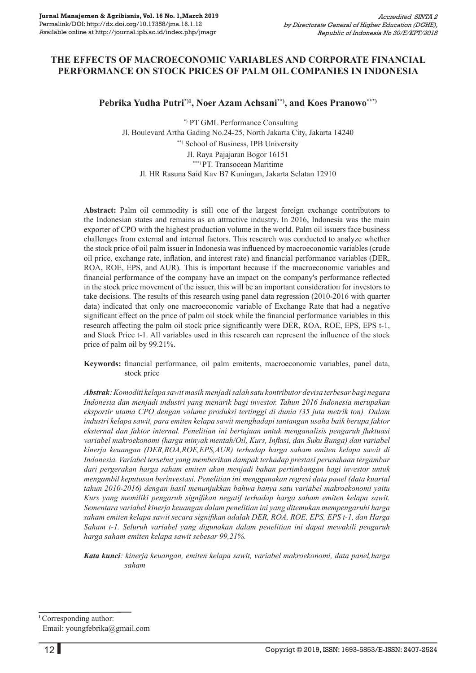## **The Effects of Macroeconomic Variables and Corporate Financial Performance on Stock Prices of Palm Oil COMPANIES in Indonesia**

**Pebrika Yudha Putri\*)1, Noer Azam Achsani\*\*), and Koes Pranowo\*\*\*)**

 \*) PT GML Performance Consulting Jl. Boulevard Artha Gading No.24-25, North Jakarta City, Jakarta 14240 \*\*) School of Business, IPB University Jl. Raya Pajajaran Bogor 16151 \*\*\*) PT. Transocean Maritime Jl. HR Rasuna Said Kav B7 Kuningan, Jakarta Selatan 12910

**Abstract:** Palm oil commodity is still one of the largest foreign exchange contributors to the Indonesian states and remains as an attractive industry. In 2016, Indonesia was the main exporter of CPO with the highest production volume in the world. Palm oil issuers face business challenges from external and internal factors. This research was conducted to analyze whether the stock price of oil palm issuer in Indonesia was influenced by macroeconomic variables (crude oil price, exchange rate, inflation, and interest rate) and financial performance variables (DER, ROA, ROE, EPS, and AUR). This is important because if the macroeconomic variables and financial performance of the company have an impact on the company's performance reflected in the stock price movement of the issuer, this will be an important consideration for investors to take decisions. The results of this research using panel data regression (2010-2016 with quarter data) indicated that only one macroeconomic variable of Exchange Rate that had a negative significant effect on the price of palm oil stock while the financial performance variables in this research affecting the palm oil stock price significantly were DER, ROA, ROE, EPS, EPS t-1, and Stock Price t-1. All variables used in this research can represent the influence of the stock price of palm oil by 99.21%.

**Keywords:** financial performance, oil palm emitents, macroeconomic variables, panel data, stock price

*Abstrak: Komoditi kelapa sawit masih menjadi salah satu kontributor devisa terbesar bagi negara Indonesia dan menjadi industri yang menarik bagi investor. Tahun 2016 Indonesia merupakan eksportir utama CPO dengan volume produksi tertinggi di dunia (35 juta metrik ton). Dalam industri kelapa sawit, para emiten kelapa sawit menghadapi tantangan usaha baik berupa faktor eksternal dan faktor internal. Penelitian ini bertujuan untuk menganalisis pengaruh fluktuasi variabel makroekonomi (harga minyak mentah/Oil, Kurs, Inflasi, dan Suku Bunga) dan variabel kinerja keuangan (DER,ROA,ROE,EPS,AUR) terhadap harga saham emiten kelapa sawit di Indonesia. Variabel tersebut yang memberikan dampak terhadap prestasi perusahaan tergambar dari pergerakan harga saham emiten akan menjadi bahan pertimbangan bagi investor untuk mengambil keputusan berinvestasi. Penelitian ini menggunakan regresi data panel (data kuartal tahun 2010-2016) dengan hasil menunjukkan bahwa hanya satu variabel makroekonomi yaitu Kurs yang memiliki pengaruh signifikan negatif terhadap harga saham emiten kelapa sawit. Sementara variabel kinerja keuangan dalam penelitian ini yang ditemukan mempengaruhi harga saham emiten kelapa sawit secara signifikan adalah DER, ROA, ROE, EPS, EPS t-1, dan Harga Saham t-1. Seluruh variabel yang digunakan dalam penelitian ini dapat mewakili pengaruh harga saham emiten kelapa sawit sebesar 99,21%.*

*Kata kunci: kinerja keuangan, emiten kelapa sawit, variabel makroekonomi, data panel,harga saham*

**<sup>1</sup>**Corresponding author:

Email: youngfebrika@gmail.com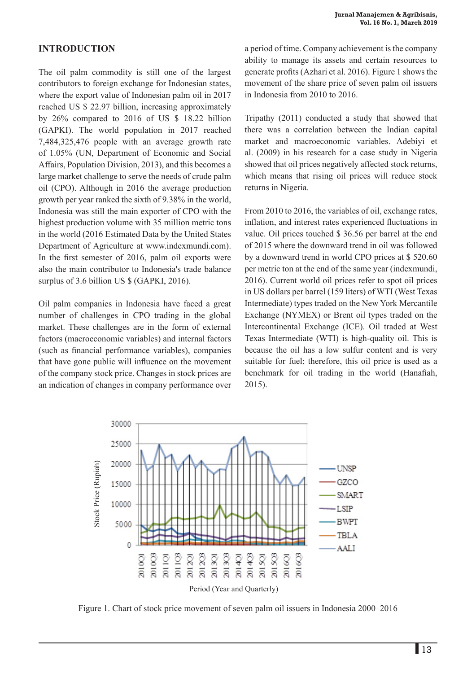## **INTRODUCTION**

The oil palm commodity is still one of the largest contributors to foreign exchange for Indonesian states, where the export value of Indonesian palm oil in 2017 reached US \$ 22.97 billion, increasing approximately by 26% compared to 2016 of US \$ 18.22 billion (GAPKI). The world population in 2017 reached 7,484,325,476 people with an average growth rate of 1.05% (UN, Department of Economic and Social Affairs, Population Division, 2013), and this becomes a large market challenge to serve the needs of crude palm oil (CPO). Although in 2016 the average production growth per year ranked the sixth of 9.38% in the world, Indonesia was still the main exporter of CPO with the highest production volume with 35 million metric tons in the world (2016 Estimated Data by the United States Department of Agriculture at www.indexmundi.com). In the first semester of 2016, palm oil exports were also the main contributor to Indonesia's trade balance surplus of 3.6 billion US  $\frac{1}{2}$  (GAPKI, 2016).

Oil palm companies in Indonesia have faced a great number of challenges in CPO trading in the global market. These challenges are in the form of external factors (macroeconomic variables) and internal factors (such as financial performance variables), companies that have gone public will influence on the movement of the company stock price. Changes in stock prices are an indication of changes in company performance over

a period of time. Company achievement is the company ability to manage its assets and certain resources to generate profits (Azhari et al. 2016). Figure 1 shows the movement of the share price of seven palm oil issuers in Indonesia from 2010 to 2016.

Tripathy (2011) conducted a study that showed that there was a correlation between the Indian capital market and macroeconomic variables. Adebiyi et al. (2009) in his research for a case study in Nigeria showed that oil prices negatively affected stock returns, which means that rising oil prices will reduce stock returns in Nigeria.

From 2010 to 2016, the variables of oil, exchange rates, inflation, and interest rates experienced fluctuations in value. Oil prices touched \$ 36.56 per barrel at the end of 2015 where the downward trend in oil was followed by a downward trend in world CPO prices at \$ 520.60 per metric ton at the end of the same year (indexmundi, 2016). Current world oil prices refer to spot oil prices in US dollars per barrel (159 liters) of WTI (West Texas Intermediate) types traded on the New York Mercantile Exchange (NYMEX) or Brent oil types traded on the Intercontinental Exchange (ICE). Oil traded at West Texas Intermediate (WTI) is high-quality oil. This is because the oil has a low sulfur content and is very suitable for fuel; therefore, this oil price is used as a benchmark for oil trading in the world (Hanafiah, 2015).

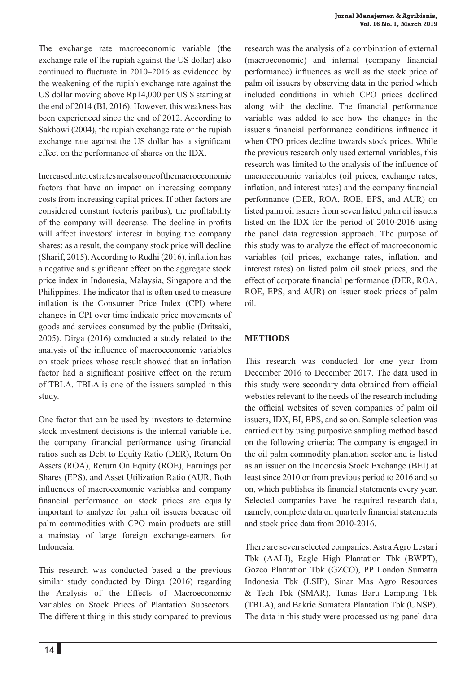The exchange rate macroeconomic variable (the exchange rate of the rupiah against the US dollar) also continued to fluctuate in 2010–2016 as evidenced by the weakening of the rupiah exchange rate against the US dollar moving above Rp14,000 per US \$ starting at the end of 2014 (BI, 2016). However, this weakness has been experienced since the end of 2012. According to Sakhowi (2004), the rupiah exchange rate or the rupiah exchange rate against the US dollar has a significant effect on the performance of shares on the IDX.

Increased interest rates are also one of the macroeconomic factors that have an impact on increasing company costs from increasing capital prices. If other factors are considered constant (ceteris paribus), the profitability of the company will decrease. The decline in profits will affect investors' interest in buying the company shares; as a result, the company stock price will decline (Sharif, 2015). According to Rudhi (2016), inflation has a negative and significant effect on the aggregate stock price index in Indonesia, Malaysia, Singapore and the Philippines. The indicator that is often used to measure inflation is the Consumer Price Index (CPI) where changes in CPI over time indicate price movements of goods and services consumed by the public (Dritsaki, 2005). Dirga (2016) conducted a study related to the analysis of the influence of macroeconomic variables on stock prices whose result showed that an inflation factor had a significant positive effect on the return of TBLA. TBLA is one of the issuers sampled in this study.

One factor that can be used by investors to determine stock investment decisions is the internal variable i.e. the company financial performance using financial ratios such as Debt to Equity Ratio (DER), Return On Assets (ROA), Return On Equity (ROE), Earnings per Shares (EPS), and Asset Utilization Ratio (AUR. Both influences of macroeconomic variables and company financial performance on stock prices are equally important to analyze for palm oil issuers because oil palm commodities with CPO main products are still a mainstay of large foreign exchange-earners for Indonesia.

This research was conducted based a the previous similar study conducted by Dirga (2016) regarding the Analysis of the Effects of Macroeconomic Variables on Stock Prices of Plantation Subsectors. The different thing in this study compared to previous

research was the analysis of a combination of external (macroeconomic) and internal (company financial performance) influences as well as the stock price of palm oil issuers by observing data in the period which included conditions in which CPO prices declined along with the decline. The financial performance variable was added to see how the changes in the issuer's financial performance conditions influence it when CPO prices decline towards stock prices. While the previous research only used external variables, this research was limited to the analysis of the influence of macroeconomic variables (oil prices, exchange rates, inflation, and interest rates) and the company financial performance (DER, ROA, ROE, EPS, and AUR) on listed palm oil issuers from seven listed palm oil issuers listed on the IDX for the period of 2010-2016 using the panel data regression approach. The purpose of this study was to analyze the effect of macroeconomic variables (oil prices, exchange rates, inflation, and interest rates) on listed palm oil stock prices, and the effect of corporate financial performance (DER, ROA, ROE, EPS, and AUR) on issuer stock prices of palm oil.

## **METHODS**

This research was conducted for one year from December 2016 to December 2017. The data used in this study were secondary data obtained from official websites relevant to the needs of the research including the official websites of seven companies of palm oil issuers, IDX, BI, BPS, and so on. Sample selection was carried out by using purposive sampling method based on the following criteria: The company is engaged in the oil palm commodity plantation sector and is listed as an issuer on the Indonesia Stock Exchange (BEI) at least since 2010 or from previous period to 2016 and so on, which publishes its financial statements every year. Selected companies have the required research data, namely, complete data on quarterly financial statements and stock price data from 2010-2016.

There are seven selected companies: Astra Agro Lestari Tbk (AALI), Eagle High Plantation Tbk (BWPT), Gozco Plantation Tbk (GZCO), PP London Sumatra Indonesia Tbk (LSIP), Sinar Mas Agro Resources & Tech Tbk (SMAR), Tunas Baru Lampung Tbk (TBLA), and Bakrie Sumatera Plantation Tbk (UNSP). The data in this study were processed using panel data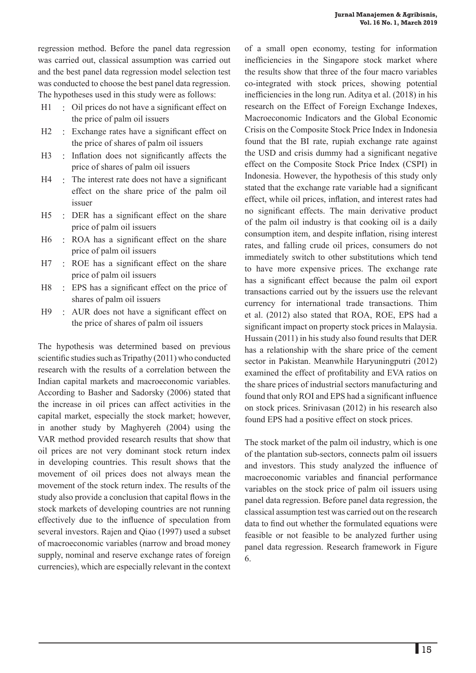regression method. Before the panel data regression was carried out, classical assumption was carried out and the best panel data regression model selection test was conducted to choose the best panel data regression. The hypotheses used in this study were as follows:

- H1 : Oil prices do not have a significant effect on the price of palm oil issuers
- H<sub>2</sub> : Exchange rates have a significant effect on the price of shares of palm oil issuers
- H3 : Inflation does not significantly affects the price of shares of palm oil issuers
- H4 : The interest rate does not have a significant effect on the share price of the palm oil issuer
- H5 : DER has a significant effect on the share price of palm oil issuers
- H6 : ROA has a significant effect on the share price of palm oil issuers
- H7 : ROE has a significant effect on the share price of palm oil issuers
- H8 : EPS has a significant effect on the price of shares of palm oil issuers
- H9 : AUR does not have a significant effect on the price of shares of palm oil issuers

The hypothesis was determined based on previous scientific studies such as Tripathy (2011) who conducted research with the results of a correlation between the Indian capital markets and macroeconomic variables. According to Basher and Sadorsky (2006) stated that the increase in oil prices can affect activities in the capital market, especially the stock market; however, in another study by Maghyereh (2004) using the VAR method provided research results that show that oil prices are not very dominant stock return index in developing countries. This result shows that the movement of oil prices does not always mean the movement of the stock return index. The results of the study also provide a conclusion that capital flows in the stock markets of developing countries are not running effectively due to the influence of speculation from several investors. Rajen and Qiao (1997) used a subset of macroeconomic variables (narrow and broad money supply, nominal and reserve exchange rates of foreign currencies), which are especially relevant in the context

of a small open economy, testing for information inefficiencies in the Singapore stock market where the results show that three of the four macro variables co-integrated with stock prices, showing potential inefficiencies in the long run. Aditya et al. (2018) in his research on the Effect of Foreign Exchange Indexes, Macroeconomic Indicators and the Global Economic Crisis on the Composite Stock Price Index in Indonesia found that the BI rate, rupiah exchange rate against the USD and crisis dummy had a significant negative effect on the Composite Stock Price Index (CSPI) in Indonesia. However, the hypothesis of this study only stated that the exchange rate variable had a significant effect, while oil prices, inflation, and interest rates had no significant effects. The main derivative product of the palm oil industry is that cooking oil is a daily consumption item, and despite inflation, rising interest rates, and falling crude oil prices, consumers do not immediately switch to other substitutions which tend to have more expensive prices. The exchange rate has a significant effect because the palm oil export transactions carried out by the issuers use the relevant currency for international trade transactions. Thim et al. (2012) also stated that ROA, ROE, EPS had a significant impact on property stock prices in Malaysia. Hussain (2011) in his study also found results that DER has a relationship with the share price of the cement sector in Pakistan. Meanwhile Haryuningputri (2012) examined the effect of profitability and EVA ratios on the share prices of industrial sectors manufacturing and found that only ROI and EPS had a significant influence on stock prices. Srinivasan (2012) in his research also found EPS had a positive effect on stock prices.

The stock market of the palm oil industry, which is one of the plantation sub-sectors, connects palm oil issuers and investors. This study analyzed the influence of macroeconomic variables and financial performance variables on the stock price of palm oil issuers using panel data regression. Before panel data regression, the classical assumption test was carried out on the research data to find out whether the formulated equations were feasible or not feasible to be analyzed further using panel data regression. Research framework in Figure 6.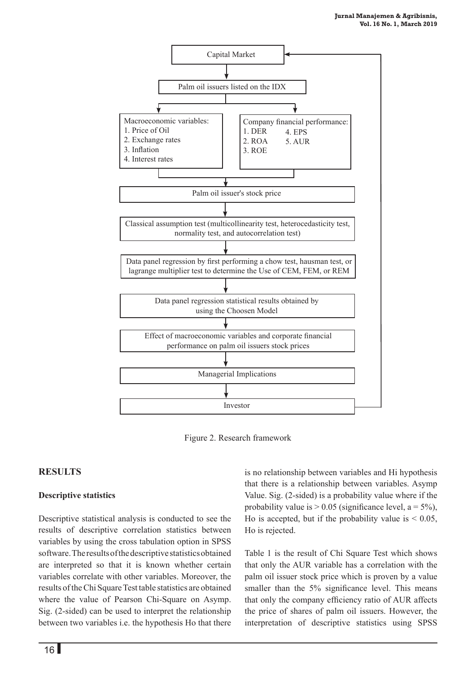

Figure 2. Research framework

## **RESULTS**

#### **Descriptive statistics**

Descriptive statistical analysis is conducted to see the results of descriptive correlation statistics between variables by using the cross tabulation option in SPSS software. The results of the descriptive statistics obtained are interpreted so that it is known whether certain variables correlate with other variables. Moreover, the results of the Chi Square Test table statistics are obtained where the value of Pearson Chi-Square on Asymp. Sig. (2-sided) can be used to interpret the relationship between two variables i.e. the hypothesis Ho that there

is no relationship between variables and Hi hypothesis that there is a relationship between variables. Asymp Value. Sig. (2-sided) is a probability value where if the probability value is  $> 0.05$  (significance level,  $a = 5\%$ ), Ho is accepted, but if the probability value is  $< 0.05$ , Ho is rejected.

Table 1 is the result of Chi Square Test which shows that only the AUR variable has a correlation with the palm oil issuer stock price which is proven by a value smaller than the 5% significance level. This means that only the company efficiency ratio of AUR affects the price of shares of palm oil issuers. However, the interpretation of descriptive statistics using SPSS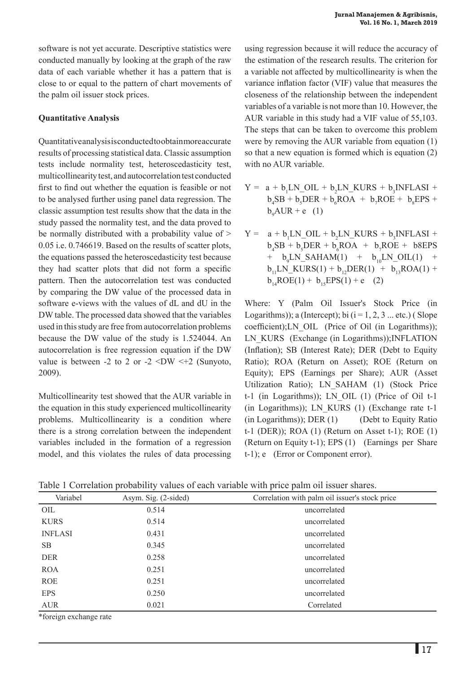software is not yet accurate. Descriptive statistics were conducted manually by looking at the graph of the raw data of each variable whether it has a pattern that is close to or equal to the pattern of chart movements of the palm oil issuer stock prices.

### **Quantitative Analysis**

Quantitative analysis is conducted to obtain more accurate results of processing statistical data. Classic assumption tests include normality test, heteroscedasticity test, multicollinearity test, and autocorrelation test conducted first to find out whether the equation is feasible or not to be analysed further using panel data regression. The classic assumption test results show that the data in the study passed the normality test, and the data proved to be normally distributed with a probability value of > 0.05 i.e. 0.746619. Based on the results of scatter plots, the equations passed the heteroscedasticity test because they had scatter plots that did not form a specific pattern. Then the autocorrelation test was conducted by comparing the DW value of the processed data in software e-views with the values of dL and dU in the DW table. The processed data showed that the variables used in this study are free from autocorrelation problems because the DW value of the study is 1.524044. An autocorrelation is free regression equation if the DW value is between -2 to 2 or -2  $\times$ DW  $\times$ +2 (Sunyoto, 2009).

Multicollinearity test showed that the AUR variable in the equation in this study experienced multicollinearity problems. Multicollinearity is a condition where there is a strong correlation between the independent variables included in the formation of a regression model, and this violates the rules of data processing using regression because it will reduce the accuracy of the estimation of the research results. The criterion for a variable not affected by multicollinearity is when the variance inflation factor (VIF) value that measures the closeness of the relationship between the independent variables of a variable is not more than 10. However, the AUR variable in this study had a VIF value of 55,103. The steps that can be taken to overcome this problem were by removing the AUR variable from equation (1) so that a new equation is formed which is equation (2) with no AUR variable.

- $Y = a + b_1LN_0IL + b_2LN_KURS + b_3INFLASI +$  $b_4$ SB +  $b_5$ DER +  $b_6$ ROA +  $b_7$ ROE +  $b_8$ EPS +  $b_9AUR + e$  (1)
- $Y = a + b_1LN_0IL + b_2LN_KURS + b_3INFLASI +$  $b_4$ SB +  $b_5$ DER +  $b_6$ ROA +  $b_7$ ROE +  $b8$ EPS +  $b_9LN\_SAHAM(1)$  +  $b_{10}LN\_OIL(1)$  +  $b_{11}LN_KURS(1) + b_{12}DER(1) + b_{13}ROA(1) +$  $b_{14}ROE(1) + b_{15}EPS(1) + e$  (2)

Where: Y (Palm Oil Issuer's Stock Price (in Logarithms)); a (Intercept); bi  $(i = 1, 2, 3 ...$  etc.) (Slope coefficient);LN\_OIL (Price of Oil (in Logarithms)); LN KURS (Exchange (in Logarithms));INFLATION (Inflation); SB (Interest Rate); DER (Debt to Equity Ratio); ROA (Return on Asset); ROE (Return on Equity); EPS (Earnings per Share); AUR (Asset Utilization Ratio); LN\_SAHAM (1) (Stock Price t-1 (in Logarithms)); LN\_OIL (1) (Price of Oil t-1 (in Logarithms)); LN\_KURS (1) (Exchange rate t-1  $(in Logarithms))$ ; DER  $(1)$  (Debt to Equity Ratio t-1 (DER)); ROA (1) (Return on Asset t-1); ROE (1) (Return on Equity t-1); EPS (1) (Earnings per Share t-1); e (Error or Component error).

Table 1 Correlation probability values of each variable with price palm oil issuer shares.

| Variabel       | Asym. Sig. (2-sided) | Correlation with palm oil issuer's stock price |  |  |
|----------------|----------------------|------------------------------------------------|--|--|
| OIL            | 0.514                | uncorrelated                                   |  |  |
| <b>KURS</b>    | 0.514                | uncorrelated                                   |  |  |
| <b>INFLASI</b> | 0.431                | uncorrelated                                   |  |  |
| <b>SB</b>      | 0.345                | uncorrelated                                   |  |  |
| <b>DER</b>     | 0.258                | uncorrelated                                   |  |  |
| <b>ROA</b>     | 0.251                | uncorrelated                                   |  |  |
| <b>ROE</b>     | 0.251                | uncorrelated                                   |  |  |
| <b>EPS</b>     | 0.250                | uncorrelated                                   |  |  |
| <b>AUR</b>     | 0.021                | Correlated                                     |  |  |

\*foreign exchange rate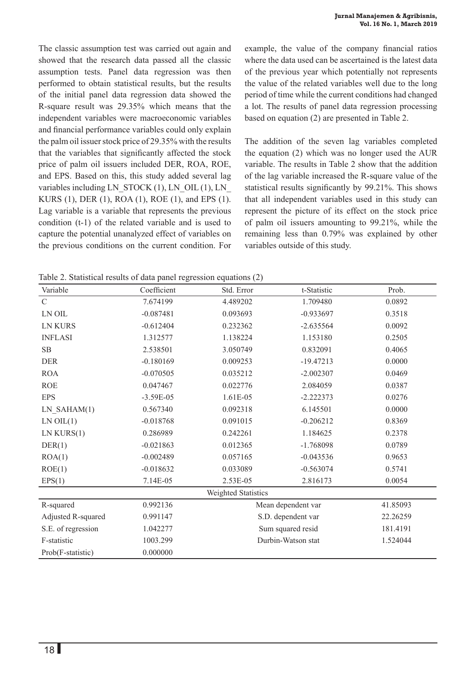The classic assumption test was carried out again and showed that the research data passed all the classic assumption tests. Panel data regression was then performed to obtain statistical results, but the results of the initial panel data regression data showed the R-square result was 29.35% which means that the independent variables were macroeconomic variables and financial performance variables could only explain the palm oil issuer stock price of 29.35% with the results that the variables that significantly affected the stock price of palm oil issuers included DER, ROA, ROE, and EPS. Based on this, this study added several lag variables including LN\_STOCK  $(1)$ , LN\_OIL  $(1)$ , LN\_ KURS (1), DER (1), ROA (1), ROE (1), and EPS (1). Lag variable is a variable that represents the previous condition (t-1) of the related variable and is used to capture the potential unanalyzed effect of variables on the previous conditions on the current condition. For example, the value of the company financial ratios where the data used can be ascertained is the latest data of the previous year which potentially not represents the value of the related variables well due to the long period of time while the current conditions had changed a lot. The results of panel data regression processing based on equation (2) are presented in Table 2.

The addition of the seven lag variables completed the equation (2) which was no longer used the AUR variable. The results in Table 2 show that the addition of the lag variable increased the R-square value of the statistical results significantly by 99.21%. This shows that all independent variables used in this study can represent the picture of its effect on the stock price of palm oil issuers amounting to 99.21%, while the remaining less than 0.79% was explained by other variables outside of this study.

Table 2. Statistical results of data panel regression equations (2)

| Variable            | Coefficient | Std. Error         | t-Statistic | Prob.    |  |  |
|---------------------|-------------|--------------------|-------------|----------|--|--|
| $\mathcal{C}$       | 7.674199    | 4.489202           | 1.709480    | 0.0892   |  |  |
| LN OIL              | $-0.087481$ | 0.093693           | $-0.933697$ | 0.3518   |  |  |
| <b>LN KURS</b>      | $-0.612404$ | 0.232362           | $-2.635564$ | 0.0092   |  |  |
| <b>INFLASI</b>      | 1.312577    | 1.138224           | 1.153180    | 0.2505   |  |  |
| SB                  | 2.538501    | 3.050749           | 0.832091    | 0.4065   |  |  |
| <b>DER</b>          | $-0.180169$ | 0.009253           | $-19.47213$ | 0.0000   |  |  |
| <b>ROA</b>          | $-0.070505$ | 0.035212           | $-2.002307$ | 0.0469   |  |  |
| <b>ROE</b>          | 0.047467    | 0.022776           | 2.084059    | 0.0387   |  |  |
| <b>EPS</b>          | $-3.59E-05$ | 1.61E-05           | $-2.222373$ | 0.0276   |  |  |
| $LN\_SAHAM(1)$      | 0.567340    | 0.092318           | 6.145501    | 0.0000   |  |  |
| LN OIL(1)           | $-0.018768$ | 0.091015           | $-0.206212$ | 0.8369   |  |  |
| LN KURS(1)          | 0.286989    | 0.242261           | 1.184625    | 0.2378   |  |  |
| DER(1)              | $-0.021863$ | 0.012365           | $-1.768098$ | 0.0789   |  |  |
| ROA(1)              | $-0.002489$ | 0.057165           | $-0.043536$ | 0.9653   |  |  |
| ROE(1)              | $-0.018632$ | 0.033089           | $-0.563074$ | 0.5741   |  |  |
| EPS(1)              | 7.14E-05    | 2.53E-05           | 2.816173    | 0.0054   |  |  |
| Weighted Statistics |             |                    |             |          |  |  |
| R-squared           | 0.992136    | Mean dependent var |             | 41.85093 |  |  |
| Adjusted R-squared  | 0.991147    | S.D. dependent var |             | 22.26259 |  |  |
| S.E. of regression  | 1.042277    | Sum squared resid  | 181.4191    |          |  |  |
| F-statistic         | 1003.299    | Durbin-Watson stat | 1.524044    |          |  |  |
| Prob(F-statistic)   | 0.000000    |                    |             |          |  |  |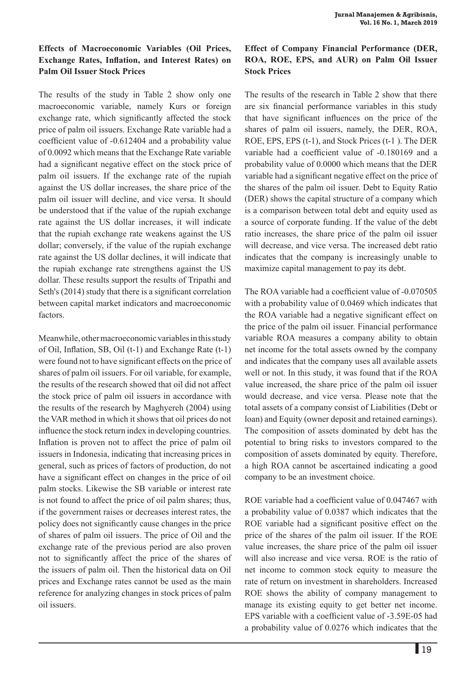### **Effects of Macroeconomic Variables (Oil Prices, Exchange Rates, Inflation, and Interest Rates) on Palm Oil Issuer Stock Prices**

The results of the study in Table 2 show only one macroeconomic variable, namely Kurs or foreign exchange rate, which significantly affected the stock price of palm oil issuers. Exchange Rate variable had a coefficient value of -0.612404 and a probability value of 0.0092 which means that the Exchange Rate variable had a significant negative effect on the stock price of palm oil issuers. If the exchange rate of the rupiah against the US dollar increases, the share price of the palm oil issuer will decline, and vice versa. It should be understood that if the value of the rupiah exchange rate against the US dollar increases, it will indicate that the rupiah exchange rate weakens against the US dollar; conversely, if the value of the rupiah exchange rate against the US dollar declines, it will indicate that the rupiah exchange rate strengthens against the US dollar. These results support the results of Tripathi and Seth's (2014) study that there is a significant correlation between capital market indicators and macroeconomic factors.

Meanwhile, other macroeconomic variables in this study of Oil, Inflation, SB, Oil (t-1) and Exchange Rate (t-1) were found not to have significant effects on the price of shares of palm oil issuers. For oil variable, for example, the results of the research showed that oil did not affect the stock price of palm oil issuers in accordance with the results of the research by Maghyereh (2004) using the VAR method in which it shows that oil prices do not influence the stock return index in developing countries. Inflation is proven not to affect the price of palm oil issuers in Indonesia, indicating that increasing prices in general, such as prices of factors of production, do not have a significant effect on changes in the price of oil palm stocks. Likewise the SB variable or interest rate is not found to affect the price of oil palm shares; thus, if the government raises or decreases interest rates, the policy does not significantly cause changes in the price of shares of palm oil issuers. The price of Oil and the exchange rate of the previous period are also proven not to significantly affect the price of the shares of the issuers of palm oil. Then the historical data on Oil prices and Exchange rates cannot be used as the main reference for analyzing changes in stock prices of palm oil issuers.

# **Effect of Company Financial Performance (DER, ROA, ROE, EPS, and AUR) on Palm Oil Issuer Stock Prices**

The results of the research in Table 2 show that there are six financial performance variables in this study that have significant influences on the price of the shares of palm oil issuers, namely, the DER, ROA, ROE, EPS, EPS (t-1), and Stock Prices (t-1 ). The DER variable had a coefficient value of -0.180169 and a probability value of 0.0000 which means that the DER variable had a significant negative effect on the price of the shares of the palm oil issuer. Debt to Equity Ratio (DER) shows the capital structure of a company which is a comparison between total debt and equity used as a source of corporate funding. If the value of the debt ratio increases, the share price of the palm oil issuer will decrease, and vice versa. The increased debt ratio indicates that the company is increasingly unable to maximize capital management to pay its debt.

The ROA variable had a coefficient value of -0.070505 with a probability value of 0.0469 which indicates that the ROA variable had a negative significant effect on the price of the palm oil issuer. Financial performance variable ROA measures a company ability to obtain net income for the total assets owned by the company and indicates that the company uses all available assets well or not. In this study, it was found that if the ROA value increased, the share price of the palm oil issuer would decrease, and vice versa. Please note that the total assets of a company consist of Liabilities (Debt or loan) and Equity (owner deposit and retained earnings). The composition of assets dominated by debt has the potential to bring risks to investors compared to the composition of assets dominated by equity. Therefore, a high ROA cannot be ascertained indicating a good company to be an investment choice.

ROE variable had a coefficient value of 0.047467 with a probability value of 0.0387 which indicates that the ROE variable had a significant positive effect on the price of the shares of the palm oil issuer. If the ROE value increases, the share price of the palm oil issuer will also increase and vice versa. ROE is the ratio of net income to common stock equity to measure the rate of return on investment in shareholders. Increased ROE shows the ability of company management to manage its existing equity to get better net income. EPS variable with a coefficient value of -3.59E-05 had a probability value of 0.0276 which indicates that the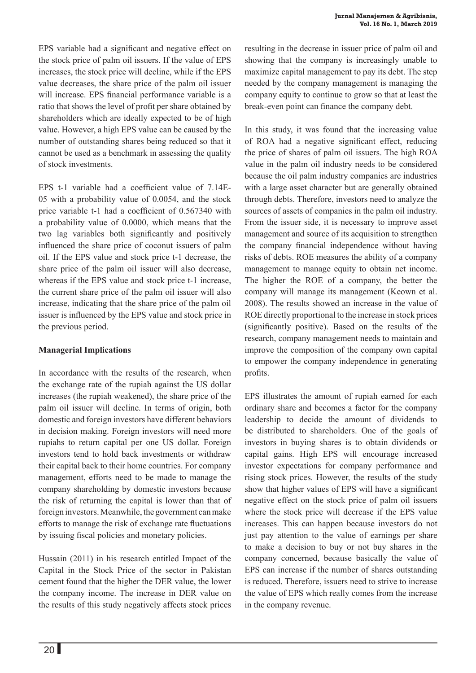EPS variable had a significant and negative effect on the stock price of palm oil issuers. If the value of EPS increases, the stock price will decline, while if the EPS value decreases, the share price of the palm oil issuer will increase. EPS financial performance variable is a ratio that shows the level of profit per share obtained by shareholders which are ideally expected to be of high value. However, a high EPS value can be caused by the number of outstanding shares being reduced so that it cannot be used as a benchmark in assessing the quality of stock investments.

EPS t-1 variable had a coefficient value of 7.14E-05 with a probability value of 0.0054, and the stock price variable t-1 had a coefficient of 0.567340 with a probability value of 0.0000, which means that the two lag variables both significantly and positively influenced the share price of coconut issuers of palm oil. If the EPS value and stock price t-1 decrease, the share price of the palm oil issuer will also decrease, whereas if the EPS value and stock price t-1 increase, the current share price of the palm oil issuer will also increase, indicating that the share price of the palm oil issuer is influenced by the EPS value and stock price in the previous period.

### **Managerial Implications**

In accordance with the results of the research, when the exchange rate of the rupiah against the US dollar increases (the rupiah weakened), the share price of the palm oil issuer will decline. In terms of origin, both domestic and foreign investors have different behaviors in decision making. Foreign investors will need more rupiahs to return capital per one US dollar. Foreign investors tend to hold back investments or withdraw their capital back to their home countries. For company management, efforts need to be made to manage the company shareholding by domestic investors because the risk of returning the capital is lower than that of foreign investors. Meanwhile, the government can make efforts to manage the risk of exchange rate fluctuations by issuing fiscal policies and monetary policies.

Hussain (2011) in his research entitled Impact of the Capital in the Stock Price of the sector in Pakistan cement found that the higher the DER value, the lower the company income. The increase in DER value on the results of this study negatively affects stock prices

resulting in the decrease in issuer price of palm oil and showing that the company is increasingly unable to maximize capital management to pay its debt. The step needed by the company management is managing the company equity to continue to grow so that at least the break-even point can finance the company debt.

In this study, it was found that the increasing value of ROA had a negative significant effect, reducing the price of shares of palm oil issuers. The high ROA value in the palm oil industry needs to be considered because the oil palm industry companies are industries with a large asset character but are generally obtained through debts. Therefore, investors need to analyze the sources of assets of companies in the palm oil industry. From the issuer side, it is necessary to improve asset management and source of its acquisition to strengthen the company financial independence without having risks of debts. ROE measures the ability of a company management to manage equity to obtain net income. The higher the ROE of a company, the better the company will manage its management (Keown et al. 2008). The results showed an increase in the value of ROE directly proportional to the increase in stock prices (significantly positive). Based on the results of the research, company management needs to maintain and improve the composition of the company own capital to empower the company independence in generating profits.

EPS illustrates the amount of rupiah earned for each ordinary share and becomes a factor for the company leadership to decide the amount of dividends to be distributed to shareholders. One of the goals of investors in buying shares is to obtain dividends or capital gains. High EPS will encourage increased investor expectations for company performance and rising stock prices. However, the results of the study show that higher values of EPS will have a significant negative effect on the stock price of palm oil issuers where the stock price will decrease if the EPS value increases. This can happen because investors do not just pay attention to the value of earnings per share to make a decision to buy or not buy shares in the company concerned, because basically the value of EPS can increase if the number of shares outstanding is reduced. Therefore, issuers need to strive to increase the value of EPS which really comes from the increase in the company revenue.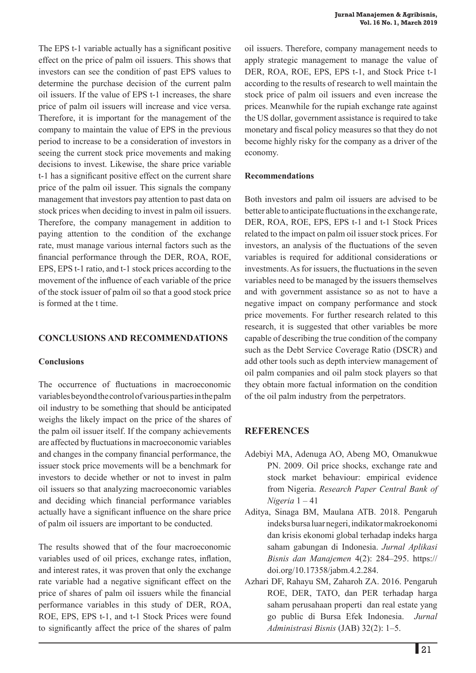The EPS t-1 variable actually has a significant positive effect on the price of palm oil issuers. This shows that investors can see the condition of past EPS values to determine the purchase decision of the current palm oil issuers. If the value of EPS t-1 increases, the share price of palm oil issuers will increase and vice versa. Therefore, it is important for the management of the company to maintain the value of EPS in the previous period to increase to be a consideration of investors in seeing the current stock price movements and making decisions to invest. Likewise, the share price variable t-1 has a significant positive effect on the current share price of the palm oil issuer. This signals the company management that investors pay attention to past data on stock prices when deciding to invest in palm oil issuers. Therefore, the company management in addition to paying attention to the condition of the exchange rate, must manage various internal factors such as the financial performance through the DER, ROA, ROE, EPS, EPS t-1 ratio, and t-1 stock prices according to the movement of the influence of each variable of the price of the stock issuer of palm oil so that a good stock price is formed at the t time.

### **CONCLUSIONS AND RECOMMENDATIONS**

### **Conclusions**

The occurrence of fluctuations in macroeconomic variables beyond the control of various parties in the palm oil industry to be something that should be anticipated weighs the likely impact on the price of the shares of the palm oil issuer itself. If the company achievements are affected by fluctuations in macroeconomic variables and changes in the company financial performance, the issuer stock price movements will be a benchmark for investors to decide whether or not to invest in palm oil issuers so that analyzing macroeconomic variables and deciding which financial performance variables actually have a significant influence on the share price of palm oil issuers are important to be conducted.

The results showed that of the four macroeconomic variables used of oil prices, exchange rates, inflation, and interest rates, it was proven that only the exchange rate variable had a negative significant effect on the price of shares of palm oil issuers while the financial performance variables in this study of DER, ROA, ROE, EPS, EPS t-1, and t-1 Stock Prices were found to significantly affect the price of the shares of palm oil issuers. Therefore, company management needs to apply strategic management to manage the value of DER, ROA, ROE, EPS, EPS t-1, and Stock Price t-1 according to the results of research to well maintain the stock price of palm oil issuers and even increase the prices. Meanwhile for the rupiah exchange rate against the US dollar, government assistance is required to take monetary and fiscal policy measures so that they do not become highly risky for the company as a driver of the economy.

#### **Recommendations**

Both investors and palm oil issuers are advised to be better able to anticipate fluctuations in the exchange rate, DER, ROA, ROE, EPS, EPS t-1 and t-1 Stock Prices related to the impact on palm oil issuer stock prices. For investors, an analysis of the fluctuations of the seven variables is required for additional considerations or investments. As for issuers, the fluctuations in the seven variables need to be managed by the issuers themselves and with government assistance so as not to have a negative impact on company performance and stock price movements. For further research related to this research, it is suggested that other variables be more capable of describing the true condition of the company such as the Debt Service Coverage Ratio (DSCR) and add other tools such as depth interview management of oil palm companies and oil palm stock players so that they obtain more factual information on the condition of the oil palm industry from the perpetrators.

## **REFERENCES**

- Adebiyi MA, Adenuga AO, Abeng MO, Omanukwue PN. 2009. Oil price shocks, exchange rate and stock market behaviour: empirical evidence from Nigeria. *Research Paper Central Bank of Nigeria* 1 – 41
- Aditya, Sinaga BM, Maulana ATB. 2018. Pengaruh indeks bursa luar negeri, indikator makroekonomi dan krisis ekonomi global terhadap indeks harga saham gabungan di Indonesia. *Jurnal Aplikasi Bisnis dan Manajemen* 4(2): 284–295. https:// doi.org/10.17358/jabm.4.2.284.
- Azhari DF, Rahayu SM, Zaharoh ZA. 2016. Pengaruh ROE, DER, TATO, dan PER terhadap harga saham perusahaan properti dan real estate yang go public di Bursa Efek Indonesia. *Jurnal Administrasi Bisnis* (JAB) 32(2): 1–5.